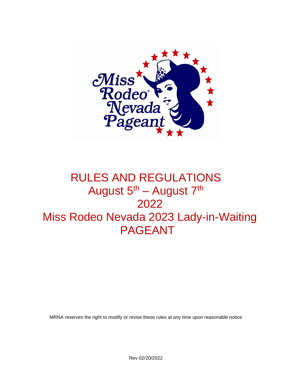

# RULES AND REGULATIONS August 5<sup>th</sup> – August 7<sup>th</sup> 2022 Miss Rodeo Nevada 2023 Lady-in-Waiting PAGEANT

MRNA reserves the right to modify or revise these rules at any time upon reasonable notice

Rev 02/20/2022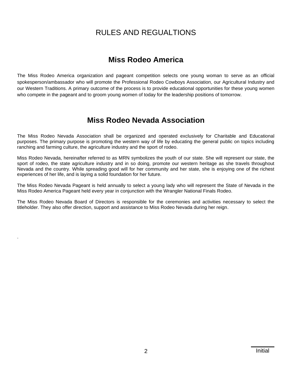## RULES AND REGUALTIONS

## **Miss Rodeo America**

The Miss Rodeo America organization and pageant competition selects one young woman to serve as an official spokesperson/ambassador who will promote the Professional Rodeo Cowboys Association, our Agricultural Industry and our Western Traditions. A primary outcome of the process is to provide educational opportunities for these young women who compete in the pageant and to groom young women of today for the leadership positions of tomorrow.

## **Miss Rodeo Nevada Association**

The Miss Rodeo Nevada Association shall be organized and operated exclusively for Charitable and Educational purposes. The primary purpose is promoting the western way of life by educating the general public on topics including ranching and farming culture, the agriculture industry and the sport of rodeo.

Miss Rodeo Nevada, hereinafter referred to as MRN symbolizes the youth of our state. She will represent our state, the sport of rodeo, the state agriculture industry and in so doing, promote our western heritage as she travels throughout Nevada and the country. While spreading good will for her community and her state, she is enjoying one of the richest experiences of her life, and is laying a solid foundation for her future.

The Miss Rodeo Nevada Pageant is held annually to select a young lady who will represent the State of Nevada in the Miss Rodeo America Pageant held every year in conjunction with the Wrangler National Finals Rodeo.

The Miss Rodeo Nevada Board of Directors is responsible for the ceremonies and activities necessary to select the titleholder. They also offer direction, support and assistance to Miss Rodeo Nevada during her reign.

.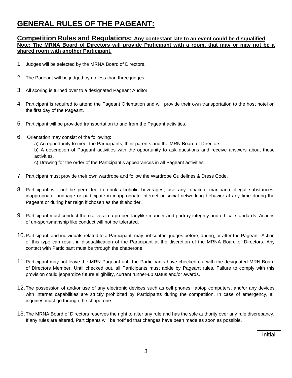## **GENERAL RULES OF THE PAGEANT:**

#### **Competition Rules and Regulations: Any contestant late to an event could be disqualified Note: The MRNA Board of Directors will provide Participant with a room, that may or may not be a shared room with another Participant.**

- 1. Judges will be selected by the MRNA Board of Directors.
- 2. The Pageant will be judged by no less than three judges.
- 3. All scoring is turned over to a designated Pageant Auditor.
- 4. Participant is required to attend the Pageant Orientation and will provide their own transportation to the host hotel on the first day of the Pageant.
- 5. Participant will be provided transportation to and from the Pageant activities.
- 6. Orientation may consist of the following:
	- a) An opportunity to meet the Participants, their parents and the MRN Board of Directors.

b) A description of Pageant activities with the opportunity to ask questions and receive answers about those activities.

c) Drawing for the order of the Participant's appearances in all Pageant activities.

- 7. Participant must provide their own wardrobe and follow the Wardrobe Guidelines & Dress Code.
- 8. Participant will not be permitted to drink alcoholic beverages, use any tobacco, marijuana, illegal substances, inappropriate language or participate in inappropriate internet or social networking behavior at any time during the Pageant or during her reign if chosen as the titleholder.
- 9. Participant must conduct themselves in a proper, ladylike manner and portray integrity and ethical standards. Actions of un-sportsmanship like conduct will not be tolerated.
- 10.Participant, and individuals related to a Participant, may not contact judges before, during, or after the Pageant. Action of this type can result in disqualification of the Participant at the discretion of the MRNA Board of Directors. Any contact with Participant must be through the chaperone.
- 11.Participant may not leave the MRN Pageant until the Participants have checked out with the designated MRN Board of Directors Member. Until checked out, all Participants must abide by Pageant rules. Failure to comply with this provision could jeopardize future eligibility, current runner-up status and/or awards.
- 12.The possession of and/or use of any electronic devices such as cell phones, laptop computers, and/or any devices with internet capabilities are strictly prohibited by Participants during the competition. In case of emergency, all inquiries must go through the chaperone.
- 13.The MRNA Board of Directors reserves the right to alter any rule and has the sole authority over any rule discrepancy. If any rules are altered, Participants will be notified that changes have been made as soon as possible.

Initial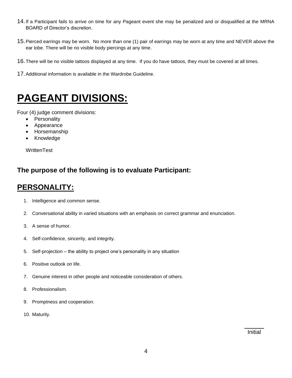- 14.If a Participant fails to arrive on time for any Pageant event she may be penalized and or disqualified at the MRNA BOARD of Director's discretion.
- 15.Pierced earrings may be worn. No more than one (1) pair of earrings may be worn at any time and NEVER above the ear lobe. There will be no visible body piercings at any time.
- 16.There will be no visible tattoos displayed at any time. If you do have tattoos, they must be covered at all times.
- 17.Additional information is available in the Wardrobe Guideline.

# **PAGEANT DIVISIONS:**

Four (4) judge comment divisions:

- Personality
- Appearance
- Horsemanship
- Knowledge

**WrittenTest** 

### **The purpose of the following is to evaluate Participant:**

## **PERSONALITY:**

- 1. Intelligence and common sense.
- 2. Conversational ability in varied situations with an emphasis on correct grammar and enunciation.
- 3. A sense of humor.
- 4. Self-confidence, sincerity, and integrity.
- 5. Self-projection the ability to project one's personality in any situation
- 6. Positive outlook on life.
- 7. Genuine interest in other people and noticeable consideration of others.
- 8. Professionalism.
- 9. Promptness and cooperation.
- 10. Maturity.

Initial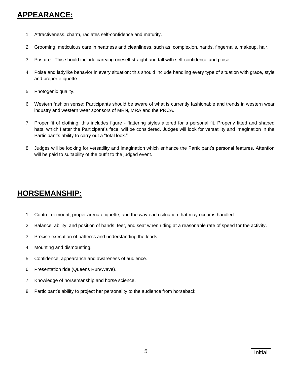## **APPEARANCE:**

- 1. Attractiveness, charm, radiates self-confidence and maturity.
- 2. Grooming: meticulous care in neatness and cleanliness, such as: complexion, hands, fingernails, makeup, hair.
- 3. Posture: This should include carrying oneself straight and tall with self-confidence and poise.
- 4. Poise and ladylike behavior in every situation: this should include handling every type of situation with grace, style and proper etiquette.
- 5. Photogenic quality.
- 6. Western fashion sense: Participants should be aware of what is currently fashionable and trends in western wear industry and western wear sponsors of MRN, MRA and the PRCA.
- 7. Proper fit of clothing: this includes figure flattering styles altered for a personal fit. Properly fitted and shaped hats, which flatter the Participant's face, will be considered. Judges will look for versatility and imagination in the Participant's ability to carry out a "total look."
- 8. Judges will be looking for versatility and imagination which enhance the Participant's personal features. Attention will be paid to suitability of the outfit to the judged event.

## **HORSEMANSHIP:**

- 1. Control of mount, proper arena etiquette, and the way each situation that may occur is handled.
- 2. Balance, ability, and position of hands, feet, and seat when riding at a reasonable rate of speed for the activity.
- 3. Precise execution of patterns and understanding the leads.
- 4. Mounting and dismounting.
- 5. Confidence, appearance and awareness of audience.
- 6. Presentation ride (Queens Run/Wave).
- 7. Knowledge of horsemanship and horse science.
- 8. Participant's ability to project her personality to the audience from horseback.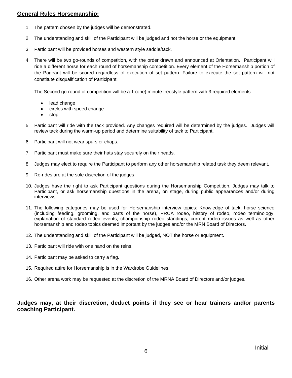#### **General Rules Horsemanship:**

- 1. The pattern chosen by the judges will be demonstrated.
- 2. The understanding and skill of the Participant will be judged and not the horse or the equipment.
- 3. Participant will be provided horses and western style saddle/tack.
- 4. There will be two go-rounds of competition, with the order drawn and announced at Orientation. Participant will ride a different horse for each round of horsemanship competition. Every element of the Horsemanship portion of the Pageant will be scored regardless of execution of set pattern. Failure to execute the set pattern will not constitute disqualification of Participant.

The Second go-round of competition will be a 1 (one) minute freestyle pattern with 3 required elements:

- lead change
- circles with speed change
- stop
- 5. Participant will ride with the tack provided. Any changes required will be determined by the judges. Judges will review tack during the warm-up period and determine suitability of tack to Participant.
- 6. Participant will not wear spurs or chaps.
- 7. Participant must make sure their hats stay securely on their heads.
- 8. Judges may elect to require the Participant to perform any other horsemanship related task they deem relevant.
- 9. Re-rides are at the sole discretion of the judges.
- 10. Judges have the right to ask Participant questions during the Horsemanship Competition. Judges may talk to Participant, or ask horsemanship questions in the arena, on stage, during public appearances and/or during interviews.
- 11. The following categories may be used for Horsemanship interview topics: Knowledge of tack, horse science (including feeding, grooming, and parts of the horse), PRCA rodeo, history of rodeo, rodeo terminology, explanation of standard rodeo events, championship rodeo standings, current rodeo issues as well as other horsemanship and rodeo topics deemed important by the judges and/or the MRN Board of Directors.
- 12. The understanding and skill of the Participant will be judged, NOT the horse or equipment.
- 13. Participant will ride with one hand on the reins.
- 14. Participant may be asked to carry a flag.
- 15. Required attire for Horsemanship is in the Wardrobe Guidelines.
- 16. Other arena work may be requested at the discretion of the MRNA Board of Directors and/or judges.

#### **Judges may, at their discretion, deduct points if they see or hear trainers and/or parents coaching Participant.**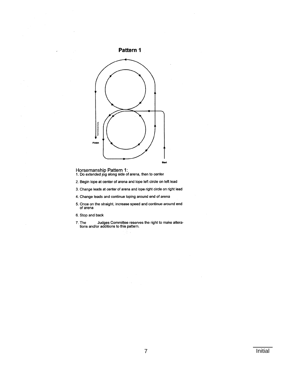



- Horsemanship Pattern 1:<br>1. Do extended jog along side of arena, then to center
- 2. Begin lope at center of arena and lope left circle on left lead
- 3. Change leads at center of arena and lope right circle on right lead
- 4. Change leads and continue loping around end of arena
- 5. Once on the straight, increase speed and continue around end of arena
- 6. Stop and back
- The Judges Committee reserves the right to make altera-<br>tions and/or additions to this pattern. 7. The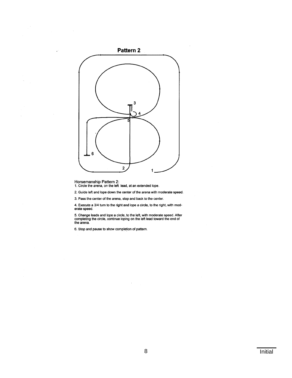

Horsemanship Pattern 2:<br>1. Circle the arena, on the left lead, at an extended lope.

2. Guide left and lope down the center of the arena with moderate speed.

3. Pass the center of the arena, stop and back to the center.

4. Execute a 3/4 turn to the right and lope a circle, to the right, with moderate speed.

5. Change leads and lope a circle, to the left, with moderate speed. After completing the circle, continue loping on the left lead toward the end of the arena.

6. Stop and pause to show completion of pattern.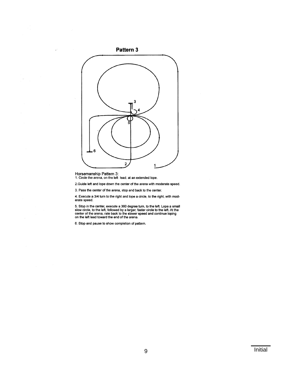

Horsemanship Pattern 3:<br>1. Circle the arena, on the left lead, at an extended lope.

2. Guide left and lope down the center of the arena with moderate speed.

3. Pass the center of the arena, stop and back to the center.

4. Execute a 3/4 turn to the right and lope a circle, to the right, with moderate speed.

5. Stop in the center, execute a 360 degree turn, to the left. Lope a small slow circle, to the left, followed by a larger, faster circle to the left. At the center of the arena, rate back to the slower speed and continue

6. Stop and pause to show completion of pattern.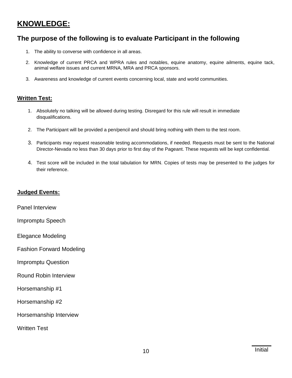## **KNOWLEDGE:**

### **The purpose of the following is to evaluate Participant in the following**

- 1. The ability to converse with confidence in all areas.
- 2. Knowledge of current PRCA and WPRA rules and notables, equine anatomy, equine ailments, equine tack, animal welfare issues and current MRNA, MRA and PRCA sponsors.
- 3. Awareness and knowledge of current events concerning local, state and world communities.

#### **Written Test:**

- 1. Absolutely no talking will be allowed during testing. Disregard for this rule will result in immediate disqualifications.
- 2. The Participant will be provided a pen/pencil and should bring nothing with them to the test room.
- 3. Participants may request reasonable testing accommodations, if needed. Requests must be sent to the National Director-Nevada no less than 30 days prior to first day of the Pageant. These requests will be kept confidential.
- 4. Test score will be included in the total tabulation for MRN. Copies of tests may be presented to the judges for their reference.

#### **Judged Events:**

Panel Interview

Impromptu Speech

Elegance Modeling

Fashion Forward Modeling

Impromptu Question

Round Robin Interview

Horsemanship #1

Horsemanship #2

Horsemanship Interview

Written Test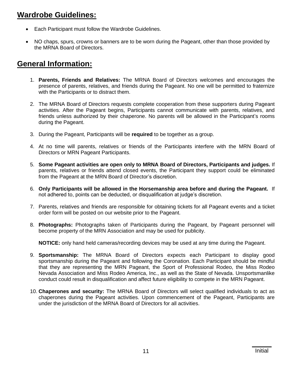## **Wardrobe Guidelines:**

- Each Participant must follow the Wardrobe Guidelines.
- NO chaps, spurs, crowns or banners are to be worn during the Pageant, other than those provided by the MRNA Board of Directors.

## **General Information:**

- 1. **Parents, Friends and Relatives:** The MRNA Board of Directors welcomes and encourages the presence of parents, relatives, and friends during the Pageant. No one will be permitted to fraternize with the Participants or to distract them.
- 2. The MRNA Board of Directors requests complete cooperation from these supporters during Pageant activities. After the Pageant begins, Participants cannot communicate with parents, relatives, and friends unless authorized by their chaperone. No parents will be allowed in the Participant's rooms during the Pageant.
- 3. During the Pageant, Participants will be **required** to be together as a group.
- 4. At no time will parents, relatives or friends of the Participants interfere with the MRN Board of Directors or MRN Pageant Participants.
- 5. **Some Pageant activities are open only to MRNA Board of Directors, Participants and judges.** If parents, relatives or friends attend closed events, the Participant they support could be eliminated from the Pageant at the MRN Board of Director's discretion.
- 6. **Only Participants will be allowed in the Horsemanship area before and during the Pageant.** If not adhered to, points can be deducted, or disqualification at judge's discretion.
- 7. Parents, relatives and friends are responsible for obtaining tickets for all Pageant events and a ticket order form will be posted on our website prior to the Pageant.
- 8. **Photographs:** Photographs taken of Participants during the Pageant, by Pageant personnel will become property of the MRN Association and may be used for publicity.

**NOTICE:** only hand held cameras/recording devices may be used at any time during the Pageant.

- 9. **Sportsmanship:** The MRNA Board of Directors expects each Participant to display good sportsmanship during the Pageant and following the Coronation. Each Participant should be mindful that they are representing the MRN Pageant, the Sport of Professional Rodeo, the Miss Rodeo Nevada Association and Miss Rodeo America, Inc., as well as the State of Nevada. Unsportsmanlike conduct could result in disqualification and affect future eligibility to compete in the MRN Pageant.
- 10. **Chaperones and security:** The MRNA Board of Directors will select qualified individuals to act as chaperones during the Pageant activities. Upon commencement of the Pageant, Participants are under the jurisdiction of the MRNA Board of Directors for all activities.